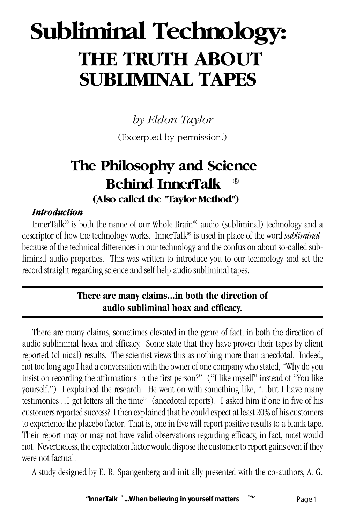# **Subliminal Technology: THE TRUTH ABOUT SUBLIMINAL TAPES**

*by Eldon Taylor*

(Excerpted by permission.)

# **The Philosophy and Science Behind InnerTalk ® (Also called the "Taylor Method")**

#### *Introduction*

InnerTalk® is both the name of our Whole Brain® audio (subliminal) technology and a descriptor of how the technology works. InnerTalk® is used in place of the word *subliminal* because of the technical differences in our technology and the confusion about so-called subliminal audio properties. This was written to introduce you to our technology and set the record straight regarding science and self help audio subliminal tapes.

#### **There are many claims...in both the direction of audio subliminal hoax and efficacy.**

There are many claims, sometimes elevated in the genre of fact, in both the direction of audio subliminal hoax and efficacy. Some state that they have proven their tapes by client reported (clinical) results. The scientist views this as nothing more than anecdotal. Indeed, not too long ago I had a conversation with the owner of one company who stated, "Why do you insist on recording the affirmations in the first person?" ("I like myself" instead of "You like yourself.") I explained the research. He went on with something like, "...but I have many testimonies ...I get letters all the time" (anecdotal reports). I asked him if one in five of his customers reported success? I then explained that he could expect at least 20% of his customers to experience the placebo factor. That is, one in five will report positive results to a blank tape. Their report may or may not have valid observations regarding efficacy, in fact, most would not. Nevertheless, the expectation factor would dispose the customer to report gains even if they were not factual.

A study designed by E. R. Spangenberg and initially presented with the co-authors, A. G.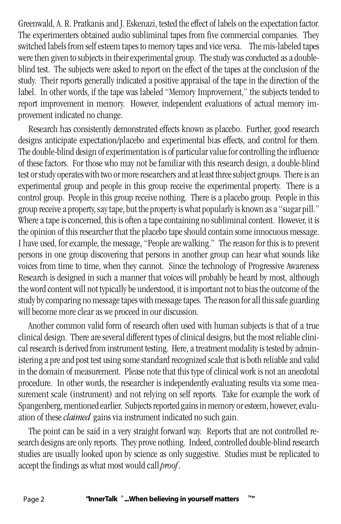Greenwald, A. R. Pratkanis and J. Eskenazi, tested the effect of labels on the expectation factor. The experimenters obtained audio subliminal tapes from five commercial companies. They switched labels from self esteem tapes to memory tapes and vice versa. The mis-labeled tapes were then given to subjects in their experimental group. The study was conducted as a doubleblind test. The subjects were asked to report on the effect of the tapes at the conclusion of the study. Their reports generally indicated a positive appraisal of the tape in the direction of the label. In other words, if the tape was labeled "Memory Improvement," the subjects tended to report improvement in memory. However, independent evaluations of actual memory improvement indicated no change.

Research has consistently demonstrated effects known as placebo. Further, good research designs anticipate expectation/placebo and experimental bias effects, and control for them. The double-blind design of experimentation is of particular value for controlling the influence of these factors. For those who may not be familiar with this research design, a double-blind test or study operates with two or more researchers and at least three subject groups. There is an experimental group and people in this group receive the experimental property. There is a control group. People in this group receive nothing. There is a placebo group. People in this group receive a property, say tape, but the property is what popularly is known as a "sugar pill." Where a tape is concerned, this is often a tape containing no subliminal content. However, it is the opinion of this researcher that the placebo tape should contain some innocuous message. I have used, for example, the message, "People are walking." The reason for this is to prevent persons in one group discovering that persons in another group can hear what sounds like voices from time to time, when they cannot. Since the technology of Progressive Awareness Research is designed in such a manner that voices will probably be heard by most, although the word content will not typically be understood, it is important not to bias the outcome of the study by comparing no message tapes with message tapes. The reason for all this safe guarding will become more clear as we proceed in our discussion.

Another common valid form of research often used with human subjects is that of a true clinical design. There are several different types of clinical designs, but the most reliable clinical research is derived from instrument testing. Here, a treatment modality is tested by administering a pre and post test using some standard recognized scale that is both reliable and valid in the domain of measurement. Please note that this type of clinical work is not an anecdotal procedure. In other words, the researcher is independently evaluating results via some measurement scale (instrument) and not relying on self reports. Take for example the work of Spangenberg, mentioned earlier. Subjects reported gains in memory or esteem, however, evaluation of these *claimed* gains via instrument indicated no such gain.

The point can be said in a very straight forward way. Reports that are not controlled research designs are only reports. They prove nothing. Indeed, controlled double-blind research studies are usually looked upon by science as only suggestive. Studies must be replicated to accept the findings as what most would call *proof*.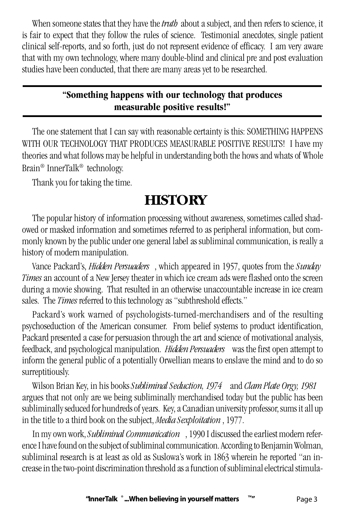When someone states that they have the *truth* about a subject, and then refers to science, it is fair to expect that they follow the rules of science. Testimonial anecdotes, single patient clinical self-reports, and so forth, just do not represent evidence of efficacy. I am very aware that with my own technology, where many double-blind and clinical pre and post evaluation studies have been conducted, that there are many areas yet to be researched.

### **"Something happens with our technology that produces measurable positive results!"**

The one statement that I can say with reasonable certainty is this: SOMETHING HAPPENS WITH OUR TECHNOLOGY THAT PRODUCES MEASURABLE POSITIVE RESULTS! I have my theories and what follows may be helpful in understanding both the hows and whats of Whole Brain® InnerTalk® technology.

Thank you for taking the time.

# **HISTORY**

The popular history of information processing without awareness, sometimes called shadowed or masked information and sometimes referred to as peripheral information, but commonly known by the public under one general label as subliminal communication, is really a history of modern manipulation.

Vance Packard's, *Hidden Persuaders* , which appeared in 1957, quotes from the *Sunday Times* an account of a New Jersey theater in which ice cream ads were flashed onto the screen during a movie showing. That resulted in an otherwise unaccountable increase in ice cream sales. The *Times* referred to this technology as "subthreshold effects."

Packard's work warned of psychologists-turned-merchandisers and of the resulting psychoseduction of the American consumer. From belief systems to product identification, Packard presented a case for persuasion through the art and science of motivational analysis, feedback, and psychological manipulation. *Hidden Persuaders* was the first open attempt to inform the general public of a potentially Orwellian means to enslave the mind and to do so surreptitiously.

Wilson Brian Key, in his books *Subliminal Seduction, 1974* and *Clam Plate Orgy, 1981* argues that not only are we being subliminally merchandised today but the public has been subliminally seduced for hundreds of years. Key, a Canadian university professor, sums it all up in the title to a third book on the subject, *Media Sexploitation* , 1977.

In my own work, *Subliminal Communication* , 1990 I discussed the earliest modern reference I have found on the subject of subliminal communication. According to Benjamin Wolman, subliminal research is at least as old as Suslowa's work in 1863 wherein he reported "an increase in the two-point discrimination threshold as a function of subliminal electrical stimula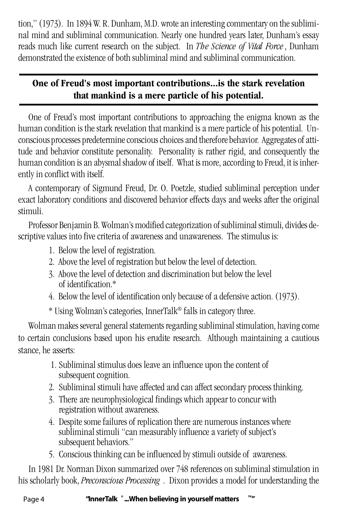tion," (1973). In 1894 W. R. Dunham, M.D. wrote an interesting commentary on the subliminal mind and subliminal communication. Nearly one hundred years later, Dunham's essay reads much like current research on the subject. In *The Science of Vital Force*, Dunham demonstrated the existence of both subliminal mind and subliminal communication.

### **One of Freud's most important contributions...is the stark revelation that mankind is a mere particle of his potential.**

One of Freud's most important contributions to approaching the enigma known as the human condition is the stark revelation that mankind is a mere particle of his potential. Unconscious processes predetermine conscious choices and therefore behavior. Aggregates of attitude and behavior constitute personality. Personality is rather rigid, and consequently the human condition is an abysmal shadow of itself. What is more, according to Freud, it is inherently in conflict with itself.

A contemporary of Sigmund Freud, Dr. O. Poetzle, studied subliminal perception under exact laboratory conditions and discovered behavior effects days and weeks after the original stimuli.

Professor Benjamin B. Wolman's modified categorization of subliminal stimuli, divides descriptive values into five criteria of awareness and unawareness. The stimulus is:

- 1. Below the level of registration.
- 2. Above the level of registration but below the level of detection.
- 3. Above the level of detection and discrimination but below the level of identification.\*
- 4. Below the level of identification only because of a defensive action. (1973).

\* Using Wolman's categories, InnerTalk® falls in category three.

Wolman makes several general statements regarding subliminal stimulation, having come to certain conclusions based upon his erudite research. Although maintaining a cautious stance, he asserts:

- 1. Subliminal stimulus does leave an influence upon the content of subsequent cognition.
- 2. Subliminal stimuli have affected and can affect secondary process thinking.
- 3. There are neurophysiological findings which appear to concur with registration without awareness.
- 4. Despite some failures of replication there are numerous instances where subliminal stimuli "can measurably influence a variety of subject's subsequent behaviors."
- 5. Conscious thinking can be influenced by stimuli outside of awareness.

In 1981 Dr. Norman Dixon summarized over 748 references on subliminal stimulation in his scholarly book, *Preconscious Processing* . Dixon provides a model for understanding the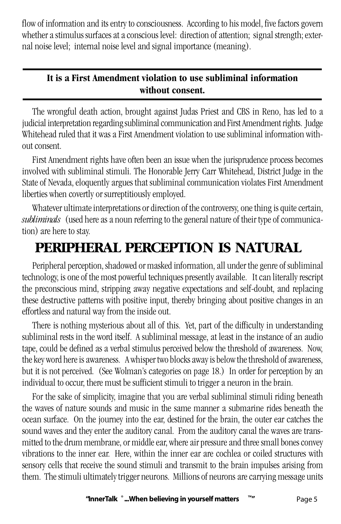flow of information and its entry to consciousness. According to his model, five factors govern whether a stimulus surfaces at a conscious level: direction of attention; signal strength; external noise level; internal noise level and signal importance (meaning).

### **It is a First Amendment violation to use subliminal information without consent.**

The wrongful death action, brought against Judas Priest and CBS in Reno, has led to a judicial interpretation regarding subliminal communication and First Amendment rights. Judge Whitehead ruled that it was a First Amendment violation to use subliminal information without consent.

First Amendment rights have often been an issue when the jurisprudence process becomes involved with subliminal stimuli. The Honorable Jerry Carr Whitehead, District Judge in the State of Nevada, eloquently argues that subliminal communication violates First Amendment liberties when covertly or surreptitiously employed.

Whatever ultimate interpretations or direction of the controversy, one thing is quite certain, *subliminals* (used here as a noun referring to the general nature of their type of communication) are here to stay.

# **PERIPHERAL PERCEPTION IS NATURAL**

Peripheral perception, shadowed or masked information, all under the genre of subliminal technology, is one of the most powerful techniques presently available. It can literally rescript the preconscious mind, stripping away negative expectations and self-doubt, and replacing these destructive patterns with positive input, thereby bringing about positive changes in an effortless and natural way from the inside out.

There is nothing mysterious about all of this. Yet, part of the difficulty in understanding subliminal rests in the word itself. A subliminal message, at least in the instance of an audio tape, could be defined as a verbal stimulus perceived below the threshold of awareness. Now, the key word here is awareness. A whisper two blocks away is below the threshold of awareness, but it is not perceived. (See Wolman's categories on page 18.) In order for perception by an individual to occur, there must be sufficient stimuli to trigger a neuron in the brain.

For the sake of simplicity, imagine that you are verbal subliminal stimuli riding beneath the waves of nature sounds and music in the same manner a submarine rides beneath the ocean surface. On the journey into the ear, destined for the brain, the outer ear catches the sound waves and they enter the auditory canal. From the auditory canal the waves are transmitted to the drum membrane, or middle ear, where air pressure and three small bones convey vibrations to the inner ear. Here, within the inner ear are cochlea or coiled structures with sensory cells that receive the sound stimuli and transmit to the brain impulses arising from them. The stimuli ultimately trigger neurons. Millions of neurons are carrying message units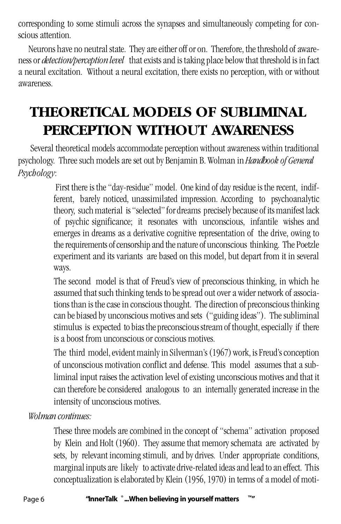corresponding to some stimuli across the synapses and simultaneously competing for conscious attention.

Neurons have no neutral state. They are either off or on. Therefore, the threshold of awareness or *detection/perception level* that exists and is taking place below that threshold is in fact a neural excitation. Without a neural excitation, there exists no perception, with or without awareness.

# **THEORETICAL MODELS OF SUBLIMINAL PERCEPTION WITHOUT AWARENESS**

 Several theoretical models accommodate perception without awareness within traditional psychology. Three such models are set out by Benjamin B. Wolman in *Handbook of General Psychology*:

> First there is the "day-residue" model. One kind of day residue is the recent, indifferent, barely noticed, unassimilated impression. According to psychoanalytic theory, such material is "selected" for dreams precisely because of its manifest lack of psychic significance; it resonates with unconscious, infantile wishes and emerges in dreams as a derivative cognitive representation of the drive, owing to the requirements of censorship and the nature of unconscious thinking. The Poetzle experiment and its variants are based on this model, but depart from it in several ways.

> The second model is that of Freud's view of preconscious thinking, in which he assumed that such thinking tends to be spread out over a wider network of associations than is the case in conscious thought. The direction of preconscious thinking can be biased by unconscious motives and sets ("guiding ideas"). The subliminal stimulus is expected to bias the preconscious stream of thought, especially if there is a boost from unconscious or conscious motives.

> The third model, evident mainly in Silverman's (1967) work, is Freud's conception of unconscious motivation conflict and defense. This model assumes that a subliminal input raises the activation level of existing unconscious motives and that it can therefore be considered analogous to an internally generated increase in the intensity of unconscious motives.

*Wolman continues:*

These three models are combined in the concept of "schema" activation proposed by Klein and Holt (1960). They assume that memory schemata are activated by sets, by relevant incoming stimuli, and by drives. Under appropriate conditions, marginal inputs are likely to activate drive-related ideas and lead to an effect. This conceptualization is elaborated by Klein (1956, 1970) in terms of a model of moti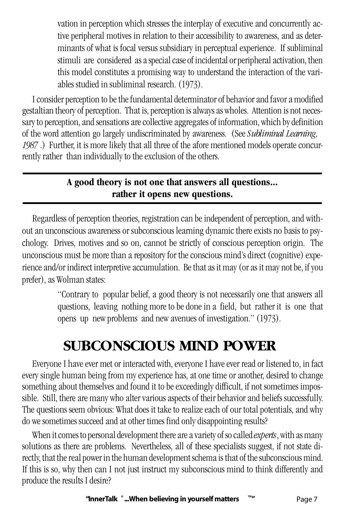vation in perception which stresses the interplay of executive and concurrently active peripheral motives in relation to their accessibility to awareness, and as determinants of what is focal versus subsidiary in perceptual experience. If subliminal stimuli are considered as a special case of incidental or peripheral activation, then this model constitutes a promising way to understand the interaction of the variables studied in subliminal research. (1973).

I consider perception to be the fundamental determinator of behavior and favor a modified gestaltian theory of perception. That is, perception is always as wholes. Attention is not necessary to perception, and sensations are collective aggregates of information, which by definition of the word attention go largely undiscriminated by awareness. (See *Subliminal Learning, 1987* .) Further, it is more likely that all three of the afore mentioned models operate concurrently rather than individually to the exclusion of the others.

### **A good theory is not one that answers all questions... rather it opens new questions.**

Regardless of perception theories, registration can be independent of perception, and without an unconscious awareness or subconscious learning dynamic there exists no basis to psychology. Drives, motives and so on, cannot be strictly of conscious perception origin. The unconscious must be more than a repository for the conscious mind's direct (cognitive) experience and/or indirect interpretive accumulation. Be that as it may (or as it may not be, if you prefer), as Wolman states:

> "Contrary to popular belief, a good theory is not necessarily one that answers all questions, leaving nothing more to be done in a field, but rather it is one that opens up new problems and new avenues of investigation." (1973).

# **SUBCONSCIOUS MIND POWER**

Everyone I have ever met or interacted with, everyone I have ever read or listened to, in fact every single human being from my experience has, at one time or another, desired to change something about themselves and found it to be exceedingly difficult, if not sometimes impossible. Still, there are many who alter various aspects of their behavior and beliefs successfully. The questions seem obvious: What does it take to realize each of our total potentials, and why do we sometimes succeed and at other times find only disappointing results?

When it comes to personal development there are a variety of so called *experts*, with as many solutions as there are problems. Nevertheless, all of these specialists suggest, if not state directly, that the real power in the human development schema is that of the subconscious mind. If this is so, why then can I not just instruct my subconscious mind to think differently and produce the results I desire?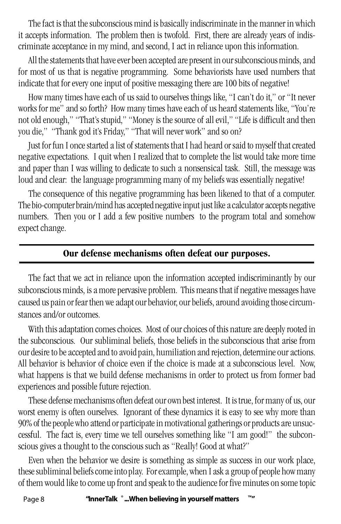The fact is that the subconscious mind is basically indiscriminate in the manner in which it accepts information. The problem then is twofold. First, there are already years of indiscriminate acceptance in my mind, and second, I act in reliance upon this information.

All the statements that have ever been accepted are present in our subconscious minds, and for most of us that is negative programming. Some behaviorists have used numbers that indicate that for every one input of positive messaging there are 100 bits of negative!

How many times have each of us said to ourselves things like, "I can't do it," or "It never works for me" and so forth? How many times have each of us heard statements like, "You're not old enough," "That's stupid," "Money is the source of all evil," "Life is difficult and then you die," "Thank god it's Friday," "That will never work" and so on?

Just for fun I once started a list of statements that I had heard or said to myself that created negative expectations. I quit when I realized that to complete the list would take more time and paper than I was willing to dedicate to such a nonsensical task. Still, the message was loud and clear: the language programming many of my beliefs was essentially negative!

The consequence of this negative programming has been likened to that of a computer. The bio-computer brain/mind has accepted negative input just like a calculator accepts negative numbers. Then you or I add a few positive numbers to the program total and somehow expect change.

#### **Our defense mechanisms often defeat our purposes.**

The fact that we act in reliance upon the information accepted indiscriminantly by our subconscious minds, is a more pervasive problem. This means that if negative messages have caused us pain or fear then we adapt our behavior, our beliefs, around avoiding those circumstances and/or outcomes.

With this adaptation comes choices. Most of our choices of this nature are deeply rooted in the subconscious. Our subliminal beliefs, those beliefs in the subconscious that arise from our desire to be accepted and to avoid pain, humiliation and rejection, determine our actions. All behavior is behavior of choice even if the choice is made at a subconscious level. Now, what happens is that we build defense mechanisms in order to protect us from former bad experiences and possible future rejection.

These defense mechanisms often defeat our own best interest. It is true, for many of us, our worst enemy is often ourselves. Ignorant of these dynamics it is easy to see why more than 90% of the people who attend or participate in motivational gatherings or products are unsuccessful. The fact is, every time we tell ourselves something like "I am good!" the subconscious gives a thought to the conscious such as "Really! Good at what?"

Even when the behavior we desire is something as simple as success in our work place, these subliminal beliefs come into play. For example, when I ask a group of people how many of them would like to come up front and speak to the audience for five minutes on some topic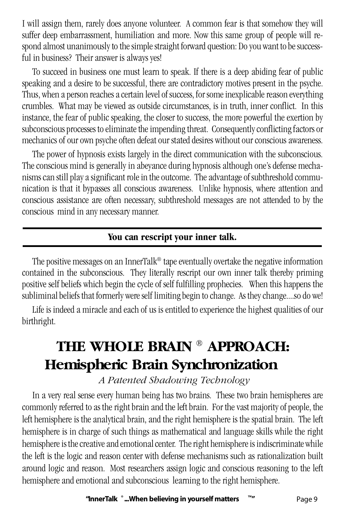I will assign them, rarely does anyone volunteer. A common fear is that somehow they will suffer deep embarrassment, humiliation and more. Now this same group of people will respond almost unanimously to the simple straight forward question: Do you want to be successful in business? Their answer is always yes!

To succeed in business one must learn to speak. If there is a deep abiding fear of public speaking and a desire to be successful, there are contradictory motives present in the psyche. Thus, when a person reaches a certain level of success, for some inexplicable reason everything crumbles. What may be viewed as outside circumstances, is in truth, inner conflict. In this instance, the fear of public speaking, the closer to success, the more powerful the exertion by subconscious processes to eliminate the impending threat. Consequently conflicting factors or mechanics of our own psyche often defeat our stated desires without our conscious awareness.

The power of hypnosis exists largely in the direct communication with the subconscious. The conscious mind is generally in abeyance during hypnosis although one's defense mechanisms can still play a significant role in the outcome. The advantage of subthreshold communication is that it bypasses all conscious awareness. Unlike hypnosis, where attention and conscious assistance are often necessary, subthreshold messages are not attended to by the conscious mind in any necessary manner.

#### **You can rescript your inner talk.**

The positive messages on an InnerTalk® tape eventually overtake the negative information contained in the subconscious. They literally rescript our own inner talk thereby priming positive self beliefs which begin the cycle of self fulfilling prophecies. When this happens the subliminal beliefs that formerly were self limiting begin to change. As they change....so do we!

Life is indeed a miracle and each of us is entitled to experience the highest qualities of our birthright.

# **THE WHOLE BRAIN ® APPROACH: Hemispheric Brain Synchronization**

### *A Patented Shadowing Technology*

In a very real sense every human being has two brains. These two brain hemispheres are commonly referred to as the right brain and the left brain. For the vast majority of people, the left hemisphere is the analytical brain, and the right hemisphere is the spatial brain. The left hemisphere is in charge of such things as mathematical and language skills while the right hemisphere is the creative and emotional center. The right hemisphere is indiscriminate while the left is the logic and reason center with defense mechanisms such as rationalization built around logic and reason. Most researchers assign logic and conscious reasoning to the left hemisphere and emotional and subconscious learning to the right hemisphere.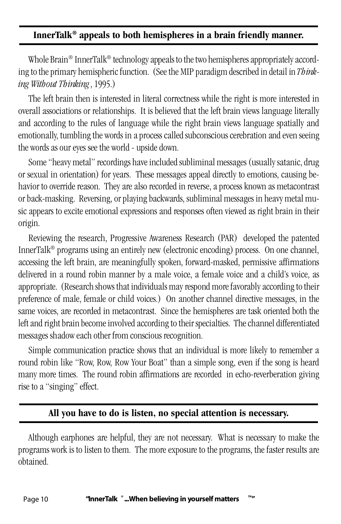#### **InnerTalk® appeals to both hemispheres in a brain friendly manner.**

Whole Brain<sup>®</sup> InnerTalk<sup>®</sup> technology appeals to the two hemispheres appropriately according to the primary hemispheric function. (See the MIP paradigm described in detail in *Thinking Without Thinking*, 1995.)

The left brain then is interested in literal correctness while the right is more interested in overall associations or relationships. It is believed that the left brain views language literally and according to the rules of language while the right brain views language spatially and emotionally, tumbling the words in a process called subconscious cerebration and even seeing the words as our eyes see the world - upside down.

Some "heavy metal" recordings have included subliminal messages (usually satanic, drug or sexual in orientation) for years. These messages appeal directly to emotions, causing behavior to override reason. They are also recorded in reverse, a process known as metacontrast or back-masking. Reversing, or playing backwards, subliminal messages in heavy metal music appears to excite emotional expressions and responses often viewed as right brain in their origin.

Reviewing the research, Progressive Awareness Research (PAR) developed the patented InnerTalk® programs using an entirely new (electronic encoding) process. On one channel, accessing the left brain, are meaningfully spoken, forward-masked, permissive affirmations delivered in a round robin manner by a male voice, a female voice and a child's voice, as appropriate. (Research shows that individuals may respond more favorably according to their preference of male, female or child voices.) On another channel directive messages, in the same voices, are recorded in metacontrast. Since the hemispheres are task oriented both the left and right brain become involved according to their specialties. The channel differentiated messages shadow each other from conscious recognition.

Simple communication practice shows that an individual is more likely to remember a round robin like "Row, Row, Row Your Boat" than a simple song, even if the song is heard many more times. The round robin affirmations are recorded in echo-reverberation giving rise to a "singing" effect.

#### **All you have to do is listen, no special attention is necessary.**

Although earphones are helpful, they are not necessary. What is necessary to make the programs work is to listen to them. The more exposure to the programs, the faster results are obtained.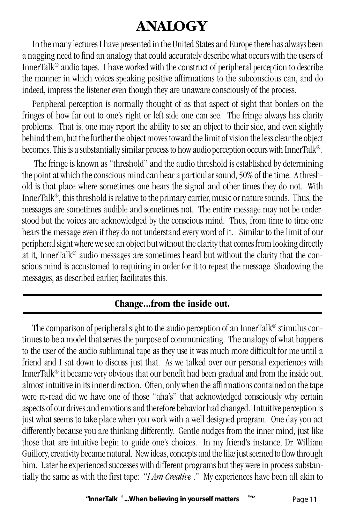# **ANALOGY**

In the many lectures I have presented in the United States and Europe there has always been a nagging need to find an analogy that could accurately describe what occurs with the users of InnerTalk® audio tapes. I have worked with the construct of peripheral perception to describe the manner in which voices speaking positive affirmations to the subconscious can, and do indeed, impress the listener even though they are unaware consciously of the process.

Peripheral perception is normally thought of as that aspect of sight that borders on the fringes of how far out to one's right or left side one can see. The fringe always has clarity problems. That is, one may report the ability to see an object to their side, and even slightly behind them, but the further the object moves toward the limit of vision the less clear the object becomes. This is a substantially similar process to how audio perception occurs with InnerTalk®.

 The fringe is known as "threshold" and the audio threshold is established by determining the point at which the conscious mind can hear a particular sound, 50% of the time. A threshold is that place where sometimes one hears the signal and other times they do not. With InnerTalk®, this threshold is relative to the primary carrier, music or nature sounds. Thus, the messages are sometimes audible and sometimes not. The entire message may not be understood but the voices are acknowledged by the conscious mind. Thus, from time to time one hears the message even if they do not understand every word of it. Similar to the limit of our peripheral sight where we see an object but without the clarity that comes from looking directly at it, InnerTalk® audio messages are sometimes heard but without the clarity that the conscious mind is accustomed to requiring in order for it to repeat the message. Shadowing the messages, as described earlier, facilitates this.

### **Change...from the inside out.**

The comparison of peripheral sight to the audio perception of an InnerTalk® stimulus continues to be a model that serves the purpose of communicating. The analogy of what happens to the user of the audio subliminal tape as they use it was much more difficult for me until a friend and I sat down to discuss just that. As we talked over our personal experiences with InnerTalk® it became very obvious that our benefit had been gradual and from the inside out, almost intuitive in its inner direction. Often, only when the affirmations contained on the tape were re-read did we have one of those "aha's" that acknowledged consciously why certain aspects of our drives and emotions and therefore behavior had changed. Intuitive perception is just what seems to take place when you work with a well designed program. One day you act differently because you are thinking differently. Gentle nudges from the inner mind, just like those that are intuitive begin to guide one's choices. In my friend's instance, Dr. William Guillory, creativity became natural. New ideas, concepts and the like just seemed to flow through him. Later he experienced successes with different programs but they were in process substantially the same as with the first tape: "*I Am Creative* ." My experiences have been all akin to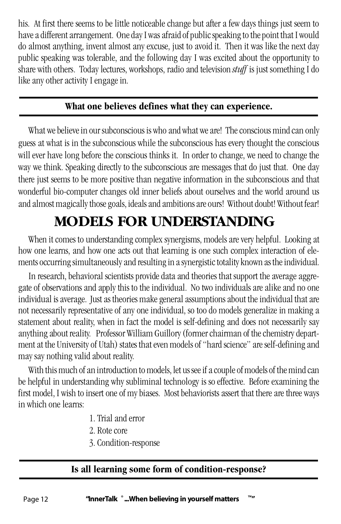his. At first there seems to be little noticeable change but after a few days things just seem to have a different arrangement. One day I was afraid of public speaking to the point that I would do almost anything, invent almost any excuse, just to avoid it. Then it was like the next day public speaking was tolerable, and the following day I was excited about the opportunity to share with others. Today lectures, workshops, radio and television *stuff* is just something I do like any other activity I engage in.

#### **What one believes defines what they can experience.**

What we believe in our subconscious is who and what we are! The conscious mind can only guess at what is in the subconscious while the subconscious has every thought the conscious will ever have long before the conscious thinks it. In order to change, we need to change the way we think. Speaking directly to the subconscious are messages that do just that. One day there just seems to be more positive than negative information in the subconscious and that wonderful bio-computer changes old inner beliefs about ourselves and the world around us and almost magically those goals, ideals and ambitions are ours! Without doubt! Without fear!

# **MODELS FOR UNDERSTANDING**

When it comes to understanding complex synergisms, models are very helpful. Looking at how one learns, and how one acts out that learning is one such complex interaction of elements occurring simultaneously and resulting in a synergistic totality known as the individual.

In research, behavioral scientists provide data and theories that support the average aggregate of observations and apply this to the individual. No two individuals are alike and no one individual is average. Just as theories make general assumptions about the individual that are not necessarily representative of any one individual, so too do models generalize in making a statement about reality, when in fact the model is self-defining and does not necessarily say anything about reality. Professor William Guillory (former chairman of the chemistry department at the University of Utah) states that even models of "hard science" are self-defining and may say nothing valid about reality.

With this much of an introduction to models, let us see if a couple of models of the mind can be helpful in understanding why subliminal technology is so effective. Before examining the first model, I wish to insert one of my biases. Most behaviorists assert that there are three ways in which one learns:

- 1. Trial and error
- 2. Rote core
- 3. Condition-response

### **Is all learning some form of condition-response?**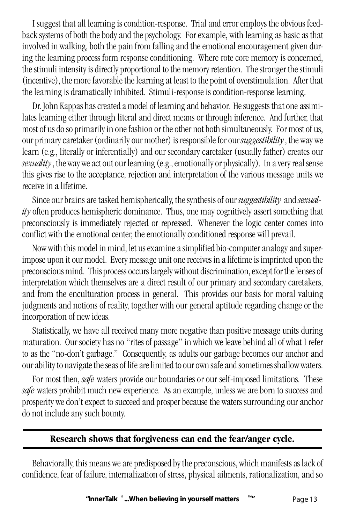I suggest that all learning is condition-response. Trial and error employs the obvious feedback systems of both the body and the psychology. For example, with learning as basic as that involved in walking, both the pain from falling and the emotional encouragement given during the learning process form response conditioning. Where rote core memory is concerned, the stimuli intensity is directly proportional to the memory retention. The stronger the stimuli (incentive), the more favorable the learning at least to the point of overstimulation. After that the learning is dramatically inhibited. Stimuli-response is condition-response learning.

Dr. John Kappas has created a model of learning and behavior. He suggests that one assimilates learning either through literal and direct means or through inference. And further, that most of us do so primarily in one fashion or the other not both simultaneously. For most of us, our primary caretaker (ordinarily our mother) is responsible for our *suggestibility*, the way we learn (e.g., literally or inferentially) and our secondary caretaker (usually father) creates our *sexuality*, the way we act out our learning (e.g., emotionally or physically). In a very real sense this gives rise to the acceptance, rejection and interpretation of the various message units we receive in a lifetime.

Since our brains are tasked hemispherically, the synthesis of our *suggestibility* and *sexuality* often produces hemispheric dominance. Thus, one may cognitively assert something that preconsciously is immediately rejected or repressed. Whenever the logic center comes into conflict with the emotional center, the emotionally conditioned response will prevail.

Now with this model in mind, let us examine a simplified bio-computer analogy and superimpose upon it our model. Every message unit one receives in a lifetime is imprinted upon the preconscious mind. This process occurs largely without discrimination, except for the lenses of interpretation which themselves are a direct result of our primary and secondary caretakers, and from the enculturation process in general. This provides our basis for moral valuing judgments and notions of reality, together with our general aptitude regarding change or the incorporation of new ideas.

Statistically, we have all received many more negative than positive message units during maturation. Our society has no "rites of passage" in which we leave behind all of what I refer to as the "no-don't garbage." Consequently, as adults our garbage becomes our anchor and our ability to navigate the seas of life are limited to our own safe and sometimes shallow waters.

For most then, *safe* waters provide our boundaries or our self-imposed limitations. These *safe* waters prohibit much new experience. As an example, unless we are born to success and prosperity we don't expect to succeed and prosper because the waters surrounding our anchor do not include any such bounty.

#### **Research shows that forgiveness can end the fear/anger cycle.**

Behaviorally, this means we are predisposed by the preconscious, which manifests as lack of confidence, fear of failure, internalization of stress, physical ailments, rationalization, and so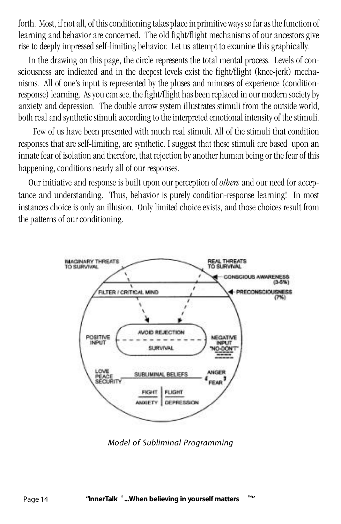forth. Most, if not all, of this conditioning takes place in primitive ways so far as the function of learning and behavior are concerned. The old fight/flight mechanisms of our ancestors give rise to deeply impressed self-limiting behavior. Let us attempt to examine this graphically.

In the drawing on this page, the circle represents the total mental process. Levels of consciousness are indicated and in the deepest levels exist the fight/flight (knee-jerk) mechanisms. All of one's input is represented by the pluses and minuses of experience (conditionresponse) learning. As you can see, the fight/flight has been replaced in our modern society by anxiety and depression. The double arrow system illustrates stimuli from the outside world, both real and synthetic stimuli according to the interpreted emotional intensity of the stimuli.

 Few of us have been presented with much real stimuli. All of the stimuli that condition responses that are self-limiting, are synthetic. I suggest that these stimuli are based upon an innate fear of isolation and therefore, that rejection by another human being or the fear of this happening, conditions nearly all of our responses.

Our initiative and response is built upon our perception of *others* and our need for acceptance and understanding. Thus, behavior is purely condition-response learning! In most instances choice is only an illusion. Only limited choice exists, and those choices result from the patterns of our conditioning.



*Model of Subliminal Programming*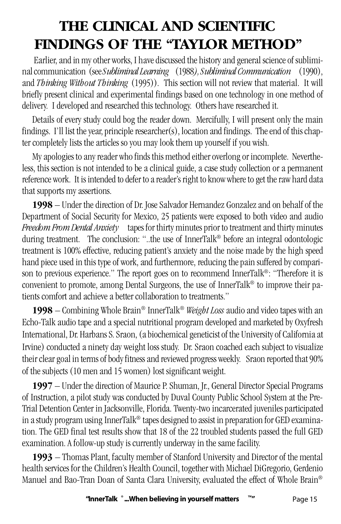# **THE CLINICAL AND SCIENTIFIC FINDINGS OF THE "TAYLOR METHOD"**

 Earlier, and in my other works, I have discussed the history and general science of subliminal communication (see *Subliminal Learning* (1988*), Subliminal Communication* (1990), and *Thinking Without Thinking* (1995)). This section will not review that material. It will briefly present clinical and experimental findings based on one technology in one method of delivery. I developed and researched this technology. Others have researched it.

Details of every study could bog the reader down. Mercifully, I will present only the main findings. I'll list the year, principle researcher(s), location and findings. The end of this chapter completely lists the articles so you may look them up yourself if you wish.

My apologies to any reader who finds this method either overlong or incomplete. Nevertheless, this section is not intended to be a clinical guide, a case study collection or a permanent reference work. It is intended to defer to a reader's right to know where to get the raw hard data that supports my assertions.

**1998** – Under the direction of Dr. Jose Salvador Hernandez Gonzalez and on behalf of the Department of Social Security for Mexico, 25 patients were exposed to both video and audio *Freedom From Dental Anxiety* tapes for thirty minutes prior to treatment and thirty minutes during treatment. The conclusion: "..the use of InnerTalk® before an integral odontologic treatment is 100% effective, reducing patient's anxiety and the noise made by the high speed hand piece used in this type of work, and furthermore, reducing the pain suffered by comparison to previous experience." The report goes on to recommend InnerTalk®: "Therefore it is convenient to promote, among Dental Surgeons, the use of InnerTalk® to improve their patients comfort and achieve a better collaboration to treatments."

**1998** – Combining Whole Brain® InnerTalk® *Weight Loss* audio and video tapes with an Echo-Talk audio tape and a special nutritional program developed and marketed by Oxyfresh International, Dr. Harbans S. Sraon, (a biochemical geneticist of the University of California at Irvine) conducted a ninety day weight loss study. Dr. Sraon coached each subject to visualize their clear goal in terms of body fitness and reviewed progress weekly. Sraon reported that 90% of the subjects (10 men and 15 women) lost significant weight.

**1997** – Under the direction of Maurice P. Shuman, Jr., General Director Special Programs of Instruction, a pilot study was conducted by Duval County Public School System at the Pre-Trial Detention Center in Jacksonville, Florida. Twenty-two incarcerated juveniles participated in a study program using InnerTalk® tapes designed to assist in preparation for GED examination. The GED final test results show that 18 of the 22 troubled students passed the full GED examination. A follow-up study is currently underway in the same facility.

**1993** – Thomas Plant, faculty member of Stanford University and Director of the mental health services for the Children's Health Council, together with Michael DiGregorio, Gerdenio Manuel and Bao-Tran Doan of Santa Clara University, evaluated the effect of Whole Brain®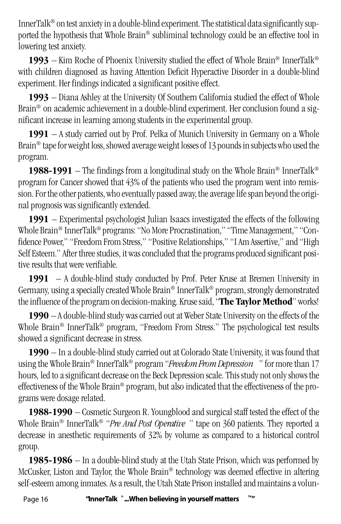InnerTalk® on test anxiety in a double-blind experiment. The statistical data significantly supported the hypothesis that Whole Brain® subliminal technology could be an effective tool in lowering test anxiety.

1993 – Kim Roche of Phoenix University studied the effect of Whole Brain® InnerTalk® with children diagnosed as having Attention Deficit Hyperactive Disorder in a double-blind experiment. Her findings indicated a significant positive effect.

**1993** – Diana Ashley at the University Of Southern California studied the effect of Whole Brain® on academic achievement in a double-blind experiment. Her conclusion found a significant increase in learning among students in the experimental group.

**1991** – A study carried out by Prof. Pelka of Munich University in Germany on a Whole Brain® tape for weight loss, showed average weight losses of 13 pounds in subjects who used the program.

**1988-1991** – The findings from a longitudinal study on the Whole Brain® InnerTalk® program for Cancer showed that 43% of the patients who used the program went into remission. For the other patients, who eventually passed away, the average life span beyond the original prognosis was significantly extended.

**1991** – Experimental psychologist Julian Isaacs investigated the effects of the following Whole Brain® InnerTalk® programs: "No More Procrastination," "Time Management," "Confidence Power," "Freedom From Stress," "Positive Relationships," "I Am Assertive," and "High Self Esteem." After three studies, it was concluded that the programs produced significant positive results that were verifiable.

**1991** – A double-blind study conducted by Prof. Peter Kruse at Bremen University in Germany, using a specially created Whole Brain® InnerTalk® program, strongly demonstrated the influence of the program on decision-making. Kruse said, "**The Taylor Method**" works!

**1990** – A double-blind study was carried out at Weber State University on the effects of the Whole Brain® InnerTalk® program, "Freedom From Stress." The psychological test results showed a significant decrease in stress.

**1990** – In a double-blind study carried out at Colorado State University, it was found that using the Whole Brain® InnerTalk® program "*Freedom From Depression* " for more than 17 hours, led to a significant decrease on the Beck Depression scale. This study not only shows the effectiveness of the Whole Brain® program, but also indicated that the effectiveness of the programs were dosage related.

**1988-1990** – Cosmetic Surgeon R. Youngblood and surgical staff tested the effect of the Whole Brain® InnerTalk® "*Pre And Post Operative* " tape on 360 patients. They reported a decrease in anesthetic requirements of 32% by volume as compared to a historical control group.

**1985-1986** – In a double-blind study at the Utah State Prison, which was performed by McCusker, Liston and Taylor, the Whole Brain® technology was deemed effective in altering self-esteem among inmates. As a result, the Utah State Prison installed and maintains a volun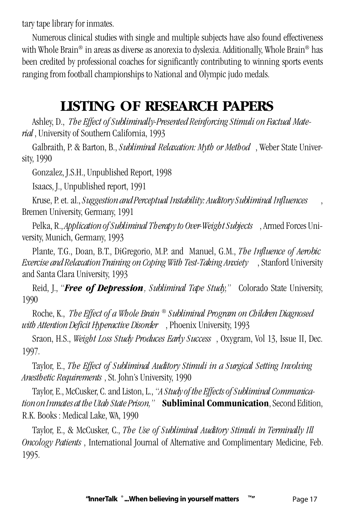tary tape library for inmates.

Numerous clinical studies with single and multiple subjects have also found effectiveness with Whole Brain® in areas as diverse as anorexia to dyslexia. Additionally, Whole Brain® has been credited by professional coaches for significantly contributing to winning sports events ranging from football championships to National and Olympic judo medals.

# **LISTING OF RESEARCH PAPERS**

Ashley, D., *The Effect of Subliminally-Presented Reinforcing Stimuli on Factual Material* , University of Southern California, 1993

Galbraith, P. & Barton, B., *Subliminal Relaxation: Myth or Method* , Weber State University, 1990

Gonzalez, J.S.H., Unpublished Report, 1998

Isaacs, J., Unpublished report, 1991

Kruse, P. et. al., *Suggestion and Perceptual Instability: Auditory Subliminal Influences* , Bremen University, Germany, 1991

Pelka, R., *Application of Subliminal Therapy to Over-Weight Subjects* , Armed Forces University, Munich, Germany, 1993

Plante, T.G., Doan, B.T., DiGregorio, M.P. and Manuel, G.M., *The Influence of Aerobic Exercise and Relaxation Training on Coping With Test-Taking Anxiety* , Stanford University and Santa Clara University, 1993

Reid, J., "*Free of Depression , Subliminal Tape Study,"* Colorado State University, 1990

Roche, K., *The Effect of a Whole Brain ® Subliminal Program on Children Diagnosed with Attention Deficit Hyperactive Disorder* , Phoenix University, 1993

Sraon, H.S., *Weight Loss Study Produces Early Success* , Oxygram, Vol 13, Issue II, Dec. 1997.

Taylor, E., *The Effect of Subliminal Auditory Stimuli in a Surgical Setting Involving Anesthetic Requirements* , St. John's University, 1990

Taylor, E., McCusker, C. and Liston, L., *"A Study of the Effects of Subliminal Communication on Inmates at the Utah State Prison,"* **Subliminal Communication**, Second Edition, R.K. Books : Medical Lake, WA, 1990

Taylor, E., & McCusker, C., *The Use of Subliminal Auditory Stimuli in Terminally Ill Oncology Patients* , International Journal of Alternative and Complimentary Medicine, Feb. 1995.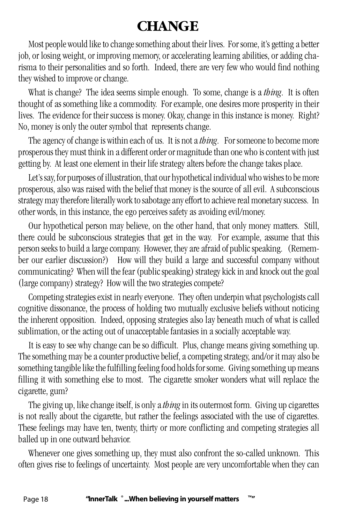# **CHANGE**

Most people would like to change something about their lives. For some, it's getting a better job, or losing weight, or improving memory, or accelerating learning abilities, or adding charisma to their personalities and so forth. Indeed, there are very few who would find nothing they wished to improve or change.

What is change? The idea seems simple enough. To some, change is a *thing*. It is often thought of as something like a commodity. For example, one desires more prosperity in their lives. The evidence for their success is money. Okay, change in this instance is money. Right? No, money is only the outer symbol that represents change.

The agency of change is within each of us. It is not a *thing*. For someone to become more prosperous they must think in a different order or magnitude than one who is content with just getting by. At least one element in their life strategy alters before the change takes place.

Let's say, for purposes of illustration, that our hypothetical individual who wishes to be more prosperous, also was raised with the belief that money is the source of all evil. A subconscious strategy may therefore literally work to sabotage any effort to achieve real monetary success. In other words, in this instance, the ego perceives safety as avoiding evil/money.

Our hypothetical person may believe, on the other hand, that only money matters. Still, there could be subconscious strategies that get in the way. For example, assume that this person seeks to build a large company. However, they are afraid of public speaking. (Remember our earlier discussion?) How will they build a large and successful company without communicating? When will the fear (public speaking) strategy kick in and knock out the goal (large company) strategy? How will the two strategies compete?

Competing strategies exist in nearly everyone. They often underpin what psychologists call cognitive dissonance, the process of holding two mutually exclusive beliefs without noticing the inherent opposition. Indeed, opposing strategies also lay beneath much of what is called sublimation, or the acting out of unacceptable fantasies in a socially acceptable way.

It is easy to see why change can be so difficult. Plus, change means giving something up. The something may be a counter productive belief, a competing strategy, and/or it may also be something tangible like the fulfilling feeling food holds for some. Giving something up means filling it with something else to most. The cigarette smoker wonders what will replace the cigarette, gum?

The giving up, like change itself, is only a *thing* in its outermost form. Giving up cigarettes is not really about the cigarette, but rather the feelings associated with the use of cigarettes. These feelings may have ten, twenty, thirty or more conflicting and competing strategies all balled up in one outward behavior.

Whenever one gives something up, they must also confront the so-called unknown. This often gives rise to feelings of uncertainty. Most people are very uncomfortable when they can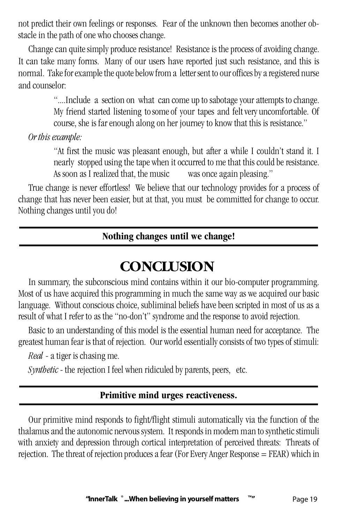not predict their own feelings or responses. Fear of the unknown then becomes another obstacle in the path of one who chooses change.

Change can quite simply produce resistance! Resistance is the process of avoiding change. It can take many forms. Many of our users have reported just such resistance, and this is normal. Take for example the quote below from a letter sent to our offices by a registered nurse and counselor:

> "....Include a section on what can come up to sabotage your attempts to change. My friend started listening to some of your tapes and felt very uncomfortable. Of course, she is far enough along on her journey to know that this is resistance."

*Or this example:*

"At first the music was pleasant enough, but after a while I couldn't stand it. I nearly stopped using the tape when it occurred to me that this could be resistance. As soon as I realized that, the music was once again pleasing."

True change is never effortless! We believe that our technology provides for a process of change that has never been easier, but at that, you must be committed for change to occur. Nothing changes until you do!

#### **Nothing changes until we change!**

# **CONCLUSION**

In summary, the subconscious mind contains within it our bio-computer programming. Most of us have acquired this programming in much the same way as we acquired our basic language. Without conscious choice, subliminal beliefs have been scripted in most of us as a result of what I refer to as the "no-don't" syndrome and the response to avoid rejection.

Basic to an understanding of this model is the essential human need for acceptance. The greatest human fear is that of rejection. Our world essentially consists of two types of stimuli:

*Real* - a tiger is chasing me.

*Synthetic* - the rejection I feel when ridiculed by parents, peers, etc.

#### **Primitive mind urges reactiveness.**

Our primitive mind responds to fight/flight stimuli automatically via the function of the thalamus and the autonomic nervous system. It responds in modern man to synthetic stimuli with anxiety and depression through cortical interpretation of perceived threats: Threats of rejection. The threat of rejection produces a fear (For Every Anger Response = FEAR) which in